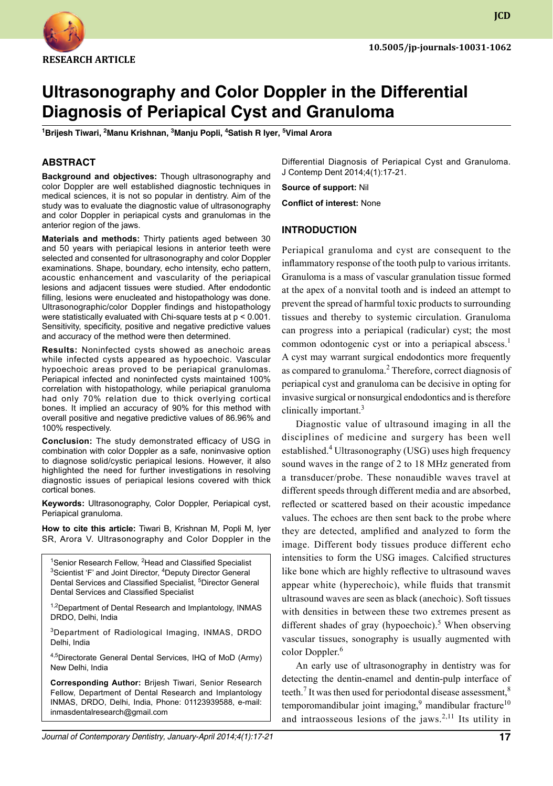

**JCD**

# **Ultrasonography and Color Doppler in the Differential Diagnosis of Periapical Cyst and Granuloma**

**1 Brijesh Tiwari, 2 Manu Krishnan, 3 Manju Popli, 4 Satish R Iyer, 5 Vimal Arora**

# **ABSTRACT**

**Background and objectives:** Though ultrasonography and color Doppler are well established diagnostic techniques in medical sciences, it is not so popular in dentistry. Aim of the study was to evaluate the diagnostic value of ultrasonography and color Doppler in periapical cysts and granulomas in the anterior region of the jaws.

**Materials and methods:** Thirty patients aged between 30 and 50 years with periapical lesions in anterior teeth were selected and consented for ultrasonography and color Doppler examinations. Shape, boundary, echo intensity, echo pattern, acoustic enhancement and vascularity of the periapical lesions and adjacent tissues were studied. After endodontic filling, lesions were enucleated and histopathology was done. Ultrasonographic/color Doppler findings and histopathology were statistically evaluated with Chi-square tests at p < 0.001. Sensitivity, specificity, positive and negative predictive values and accuracy of the method were then determined.

**Results:** Noninfected cysts showed as anechoic areas while infected cysts appeared as hypoechoic. Vascular hypoechoic areas proved to be periapical granulomas. Periapical infected and noninfected cysts maintained 100% correlation with histopathology, while periapical granuloma had only 70% relation due to thick overlying cortical bones. It implied an accuracy of 90% for this method with overall positive and negative predictive values of 86.96% and 100% respectively.

**Conclusion:** The study demonstrated efficacy of USG in combination with color Doppler as a safe, noninvasive option to diagnose solid/cystic periapical lesions. However, it also highlighted the need for further investigations in resolving diagnostic issues of periapical lesions covered with thick cortical bones.

Keywords: Ultrasonography, Color Doppler, Periapical cyst, periapical granuloma.

**How to cite this article:** Tiwari B, Krishnan M, Popli M, Iyer SR, Arora V. Ultrasonography and Color Doppler in the

<sup>1</sup>Senior Research Fellow, <sup>2</sup>Head and Classified Specialist <sup>3</sup>Scientist 'F' and Joint Director, <sup>4</sup>Deputy Director General Dental Services and Classified Specialist, <sup>5</sup>Director General Dental Services and Classified Specialist

<sup>1,2</sup>Department of Dental Research and Implantology, INMAS DRDO, Delhi, India

3Department of Radiological Imaging, INMAS, DRDO Delhi, India

4,5Directorate General Dental Services, IHQ of MoD (Army) New Delhi, India

**Corresponding Author:** Brijesh Tiwari, Senior Research Fellow, Department of Dental Research and Implantology INMAS, DRDO, Delhi, India, Phone: 01123939588, e-mail: inmasdentalresearch@gmail.com

Differential Diagnosis of Periapical Cyst and Granuloma. J Contemp Dent 2014;4(1):17-21.

**Source of support:** Nil

**Conflict of interest:** None

### **Introduction**

Periapical granuloma and cyst are consequent to the inflammatory response of the tooth pulp to various irritants. Granuloma is a mass of vascular granulation tissue formed at the apex of a nonvital tooth and is indeed an attempt to prevent the spread of harmful toxic products to surrounding tissues and thereby to systemic circulation. Granuloma can progress into a periapical (radicular) cyst; the most common odontogenic cyst or into a periapical abscess.<sup>1</sup> A cyst may warrant surgical endodontics more frequently as compared to granuloma.<sup>2</sup> Therefore, correct diagnosis of periapical cyst and granuloma can be decisive in opting for invasive surgical or nonsurgical endodontics and is therefore clinically important.<sup>3</sup>

Diagnostic value of ultrasound imaging in all the disciplines of medicine and surgery has been well established.<sup>4</sup> Ultrasonography (USG) uses high frequency sound waves in the range of 2 to 18 MHz generated from a transducer/probe. These nonaudible waves travel at different speeds through different media and are absorbed, reflected or scattered based on their acoustic impedance values. The echoes are then sent back to the probe where they are detected, amplified and analyzed to form the image. Different body tissues produce different echo intensities to form the USG images. Calcified structures like bone which are highly reflective to ultrasound waves appear white (hyperechoic), while fluids that transmit ultrasound waves are seen as black (anechoic). Soft tissues with densities in between these two extremes present as different shades of gray (hypoechoic).<sup>5</sup> When observing vascular tissues, sonography is usually augmented with color Doppler.<sup>6</sup>

An early use of ultrasonography in dentistry was for detecting the dentin-enamel and dentin-pulp interface of teeth.<sup>7</sup> It was then used for periodontal disease assessment,<sup>8</sup> temporomandibular joint imaging,<sup>9</sup> mandibular fracture<sup>10</sup> and intraosseous lesions of the jaws.<sup>2,11</sup> Its utility in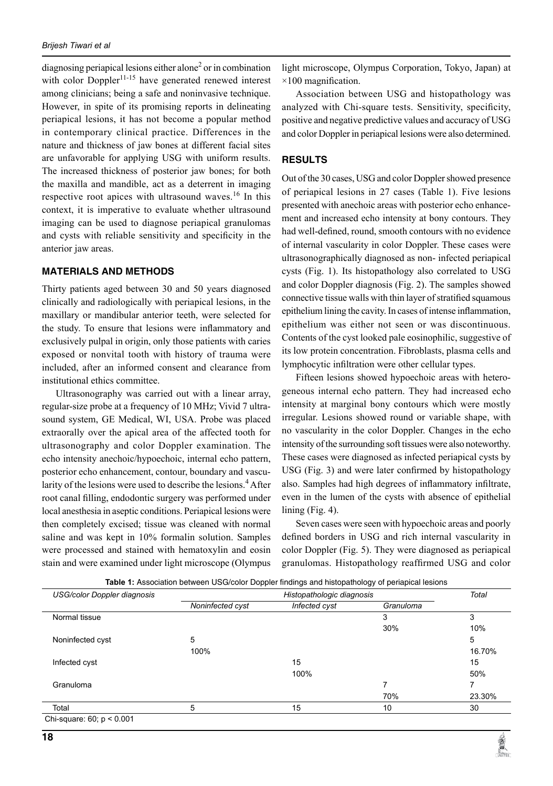diagnosing periapical lesions either alone<sup>2</sup> or in combination with color Doppler<sup>11-15</sup> have generated renewed interest among clinicians; being a safe and noninvasive technique. However, in spite of its promising reports in delineating periapical lesions, it has not become a popular method in contemporary clinical practice. Differences in the nature and thickness of jaw bones at different facial sites are unfavorable for applying USG with uniform results. The increased thickness of posterior jaw bones; for both the maxilla and mandible, act as a deterrent in imaging respective root apices with ultrasound waves.<sup>16</sup> In this context, it is imperative to evaluate whether ultrasound imaging can be used to diagnose periapical granulomas and cysts with reliable sensitivity and specificity in the anterior jaw areas.

# **Materials and methods**

Thirty patients aged between 30 and 50 years diagnosed clinically and radiologically with periapical lesions, in the maxillary or mandibular anterior teeth, were selected for the study. To ensure that lesions were inflammatory and exclusively pulpal in origin, only those patients with caries exposed or nonvital tooth with history of trauma were included, after an informed consent and clearance from institutional ethics committee.

Ultrasonography was carried out with a linear array, regular-size probe at a frequency of 10 MHz; Vivid 7 ultrasound system, GE Medical, WI, USA. Probe was placed extraorally over the apical area of the affected tooth for ultrasonography and color Doppler examination. The echo intensity anechoic/hypoechoic, internal echo pattern, posterior echo enhancement, contour, boundary and vascularity of the lesions were used to describe the lesions.<sup>4</sup> After root canal filling, endodontic surgery was performed under local anesthesia in aseptic conditions. Periapical lesions were then completely excised; tissue was cleaned with normal saline and was kept in 10% formalin solution. Samples were processed and stained with hematoxylin and eosin stain and were examined under light microscope (Olympus

light microscope, Olympus Corporation, Tokyo, Japan) at  $\times$ 100 magnification.

Association between USG and histopathology was analyzed with Chi-square tests. Sensitivity, specificity, positive and negative predictive values and accuracy of USG and color Doppler in periapical lesions were also determined.

#### **Results**

Out of the 30 cases, USG and color Doppler showed presence of periapical lesions in 27 cases (Table 1). five lesions presented with anechoic areas with posterior echo enhancement and increased echo intensity at bony contours. They had well-defined, round, smooth contours with no evidence of internal vascularity in color Doppler. These cases were ultrasonographically diagnosed as non- infected periapical cysts (Fig. 1). Its histopathology also correlated to USG and color Doppler diagnosis (Fig. 2). The samples showed connective tissue walls with thin layer of stratified squamous epithelium lining the cavity. In cases of intense inflammation, epithelium was either not seen or was discontinuous. Contents of the cyst looked pale eosinophilic, suggestive of its low protein concentration. Fibroblasts, plasma cells and lymphocytic infiltration were other cellular types.

Fifteen lesions showed hypoechoic areas with heterogeneous internal echo pattern. They had increased echo intensity at marginal bony contours which were mostly irregular. Lesions showed round or variable shape, with no vascularity in the color Doppler. Changes in the echo intensity of the surrounding soft tissues were also noteworthy. These cases were diagnosed as infected periapical cysts by USG (Fig. 3) and were later confirmed by histopathology also. Samples had high degrees of inflammatory infiltrate, even in the lumen of the cysts with absence of epithelial lining (Fig. 4).

Seven cases were seen with hypoechoic areas and poorly defined borders in USG and rich internal vascularity in color Doppler (Fig. 5). They were diagnosed as periapical granulomas. Histopathology reaffirmed USG and color

| USG/color Doppler diagnosis    | Histopathologic diagnosis |               |           | Total  |
|--------------------------------|---------------------------|---------------|-----------|--------|
|                                | Noninfected cyst          | Infected cyst | Granuloma |        |
| Normal tissue                  |                           |               | 3         | 3      |
|                                |                           |               | 30%       | 10%    |
| Noninfected cyst               | 5                         |               |           | 5      |
|                                | 100%                      |               |           | 16.70% |
| Infected cyst                  |                           | 15            |           | 15     |
|                                |                           | 100%          |           | 50%    |
| Granuloma                      |                           |               |           |        |
|                                |                           |               | 70%       | 23.30% |
| Total                          | 5                         | 15            | 10        | 30     |
| Chi-square: $60$ ; $p < 0.001$ |                           |               |           |        |

**Table 1:** Association between USG/color Doppler findings and histopathology of periapical lesions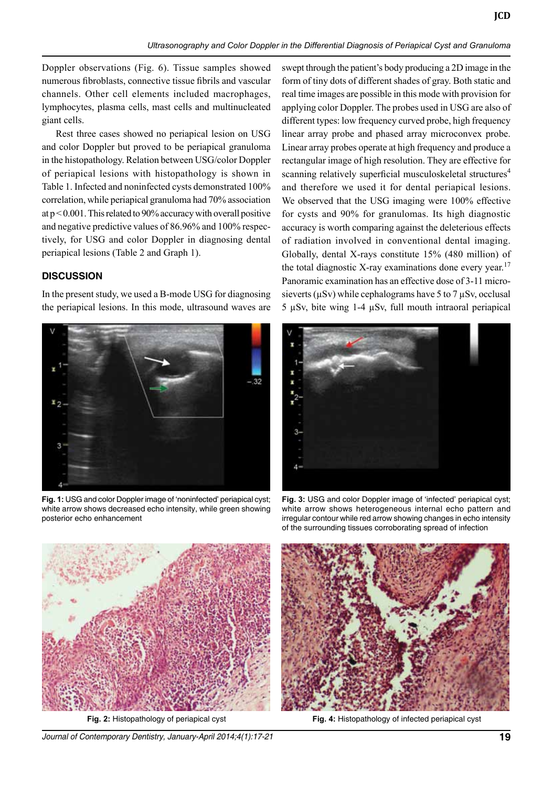Doppler observations (Fig. 6). Tissue samples showed numerous fibroblasts, connective tissue fibrils and vascular channels. Other cell elements included macrophages, lymphocytes, plasma cells, mast cells and multinucleated giant cells.

Rest three cases showed no periapical lesion on USG and color Doppler but proved to be periapical granuloma in the histopathology. Relation between USG/color Doppler of periapical lesions with histopathology is shown in Table 1. Infected and noninfected cysts demonstrated 100% correlation, while periapical granuloma had 70% association at p < 0.001. This related to 90% accuracy with overall positive and negative predictive values of 86.96% and 100% respectively, for USG and color Doppler in diagnosing dental periapical lesions (Table 2 and Graph 1).

## **Discussion**

In the present study, we used a B-mode USG for diagnosing the periapical lesions. In this mode, ultrasound waves are



**Fig. 1:** USG and color Doppler image of 'noninfected' periapical cyst; white arrow shows decreased echo intensity, while green showing posterior echo enhancement

swept through the patient's body producing a 2D image in the form of tiny dots of different shades of gray. Both static and real time images are possible in this mode with provision for applying color Doppler. The probes used in USG are also of different types: low frequency curved probe, high frequency linear array probe and phased array microconvex probe. Linear array probes operate at high frequency and produce a rectangular image of high resolution. They are effective for scanning relatively superficial musculoskeletal structures<sup>4</sup> and therefore we used it for dental periapical lesions. We observed that the USG imaging were 100% effective for cysts and 90% for granulomas. Its high diagnostic accuracy is worth comparing against the deleterious effects of radiation involved in conventional dental imaging. Globally, dental X-rays constitute 15% (480 million) of the total diagnostic X-ray examinations done every year.<sup>17</sup> Panoramic examination has an effective dose of 3-11 microsieverts ( $\mu$ Sv) while cephalograms have 5 to 7  $\mu$ Sv, occlusal 5 µSv, bite wing 1-4 µSv, full mouth intraoral periapical

**JCD**



**Fig. 3:** USG and color Doppler image of 'infected' periapical cyst; white arrow shows heterogeneous internal echo pattern and irregular contour while red arrow showing changes in echo intensity of the surrounding tissues corroborating spread of infection



**Fig. 2:** Histopathology of periapical cyst

*Journal of Contemporary Dentistry, January-April 2014;4(1):17-21* **19**



**Fig. 4:** Histopathology of infected periapical cyst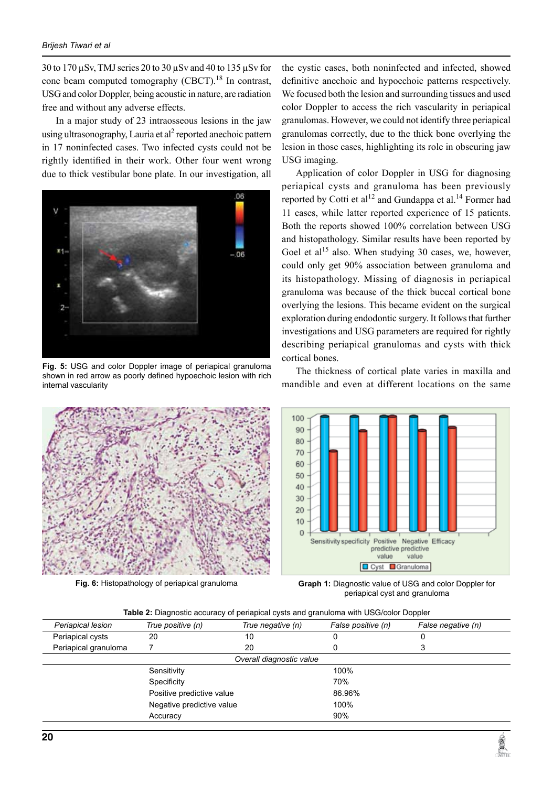30 to 170 µSv, TMJ series 20 to 30 µSv and 40 to 135 µSv for cone beam computed tomography  $(CBCT)$ .<sup>18</sup> In contrast, USG and color Doppler, being acoustic in nature, are radiation free and without any adverse effects.

In a major study of 23 intraosseous lesions in the jaw using ultrasonography, Lauria et al<sup>2</sup> reported anechoic pattern in 17 noninfected cases. Two infected cysts could not be rightly identified in their work. Other four went wrong due to thick vestibular bone plate. In our investigation, all



**Fig. 5:** USG and color Doppler image of periapical granuloma shown in red arrow as poorly defined hypoechoic lesion with rich internal vascularity



the cystic cases, both noninfected and infected, showed definitive anechoic and hypoechoic patterns respectively. We focused both the lesion and surrounding tissues and used color Doppler to access the rich vascularity in periapical granulomas. However, we could not identify three periapical granulomas correctly, due to the thick bone overlying the lesion in those cases, highlighting its role in obscuring jaw USG imaging.

Application of color Doppler in USG for diagnosing periapical cysts and granuloma has been previously reported by Cotti et al<sup>12</sup> and Gundappa et al.<sup>14</sup> Former had 11 cases, while latter reported experience of 15 patients. Both the reports showed 100% correlation between USG and histopathology. Similar results have been reported by Goel et al<sup>15</sup> also. When studying 30 cases, we, however, could only get 90% association between granuloma and its histopathology. Missing of diagnosis in periapical granuloma was because of the thick buccal cortical bone overlying the lesions. This became evident on the surgical exploration during endodontic surgery. It follows that further investigations and USG parameters are required for rightly describing periapical granulomas and cysts with thick cortical bones.

The thickness of cortical plate varies in maxilla and mandible and even at different locations on the same



**Fig. 6:** Histopathology of periapical granuloma **Graph 1:** Diagnostic value of USG and color Doppler for periapical cyst and granuloma

|  |  |  | Table 2: Diagnostic accuracy of periapical cysts and granuloma with USG/color Doppler |
|--|--|--|---------------------------------------------------------------------------------------|
|--|--|--|---------------------------------------------------------------------------------------|

| Periapical lesion                                                     | True positive (n) | True negative (n)        | False positive (n) | False negative (n) |  |
|-----------------------------------------------------------------------|-------------------|--------------------------|--------------------|--------------------|--|
| Periapical cysts                                                      | 20                | 10                       |                    |                    |  |
| Periapical granuloma                                                  |                   | 20                       |                    | 3                  |  |
|                                                                       |                   | Overall diagnostic value |                    |                    |  |
|                                                                       | Sensitivity       |                          | 100%               |                    |  |
| Specificity<br>Positive predictive value<br>Negative predictive value |                   |                          | 70%                |                    |  |
|                                                                       |                   |                          | 86.96%             |                    |  |
|                                                                       |                   |                          | 100%               |                    |  |
|                                                                       | Accuracy          |                          | 90%                |                    |  |